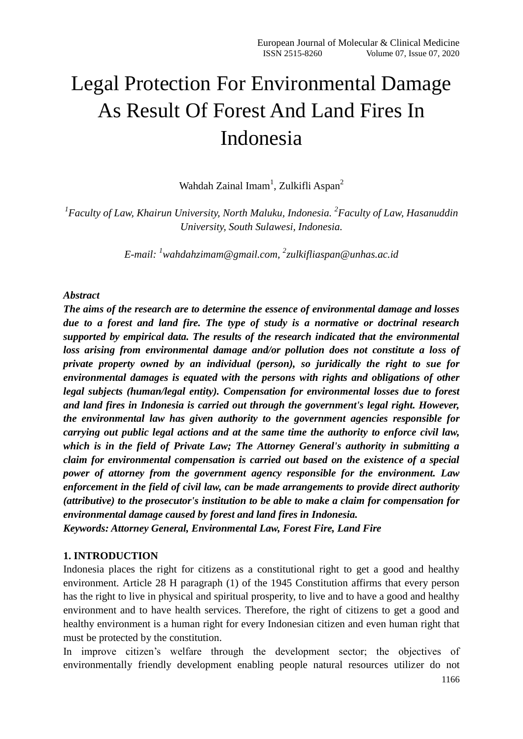# Legal Protection For Environmental Damage As Result Of Forest And Land Fires In Indonesia

Wahdah Zainal Imam<sup>1</sup>, Zulkifli Aspan<sup>2</sup>

<sup>1</sup> Faculty of Law, Khairun University, North Maluku, Indonesia. <sup>2</sup> Faculty of Law, Hasanuddin *University, South Sulawesi, Indonesia.*

*E-mail: <sup>1</sup>[wahdahzimam@gmail.com,](mailto:wahdahzimam@gmail.com) 2 [zulkifliaspan@unhas.ac.id](mailto:zulkifliaspan@unhas.ac.id)*

## *Abstract*

*The aims of the research are to determine the essence of environmental damage and losses due to a forest and land fire. The type of study is a normative or doctrinal research supported by empirical data. The results of the research indicated that the environmental loss arising from environmental damage and/or pollution does not constitute a loss of private property owned by an individual (person), so juridically the right to sue for environmental damages is equated with the persons with rights and obligations of other legal subjects (human/legal entity). Compensation for environmental losses due to forest and land fires in Indonesia is carried out through the government's legal right. However, the environmental law has given authority to the government agencies responsible for carrying out public legal actions and at the same time the authority to enforce civil law, which is in the field of Private Law; The Attorney General's authority in submitting a claim for environmental compensation is carried out based on the existence of a special power of attorney from the government agency responsible for the environment. Law enforcement in the field of civil law, can be made arrangements to provide direct authority (attributive) to the prosecutor's institution to be able to make a claim for compensation for environmental damage caused by forest and land fires in Indonesia. Keywords: Attorney General, Environmental Law, Forest Fire, Land Fire*

# **1. INTRODUCTION**

Indonesia places the right for citizens as a constitutional right to get a good and healthy environment. Article 28 H paragraph (1) of the 1945 Constitution affirms that every person has the right to live in physical and spiritual prosperity, to live and to have a good and healthy environment and to have health services. Therefore, the right of citizens to get a good and healthy environment is a human right for every Indonesian citizen and even human right that must be protected by the constitution.

In improve citizen's welfare through the development sector; the objectives of environmentally friendly development enabling people natural resources utilizer do not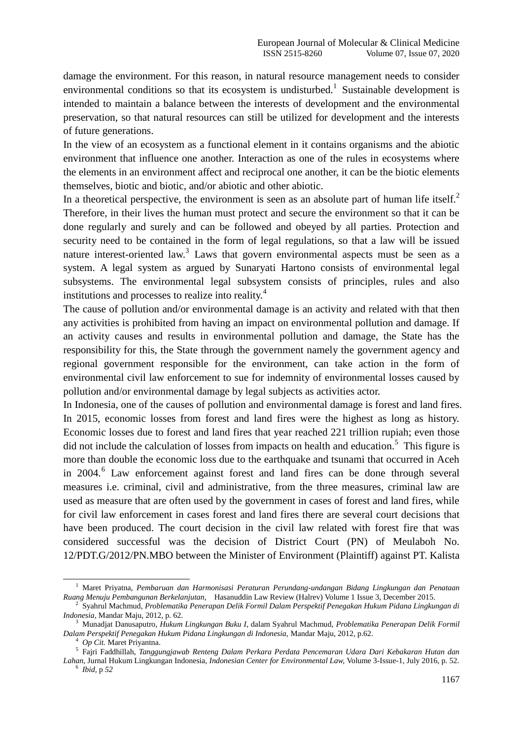damage the environment. For this reason, in natural resource management needs to consider environmental conditions so that its ecosystem is undisturbed.<sup>1</sup> Sustainable development is intended to maintain a balance between the interests of development and the environmental preservation, so that natural resources can still be utilized for development and the interests of future generations.

In the view of an ecosystem as a functional element in it contains organisms and the abiotic environment that influence one another. Interaction as one of the rules in ecosystems where the elements in an environment affect and reciprocal one another, it can be the biotic elements themselves, biotic and biotic, and/or abiotic and other abiotic.

In a theoretical perspective, the environment is seen as an absolute part of human life itself. $<sup>2</sup>$ </sup> Therefore, in their lives the human must protect and secure the environment so that it can be done regularly and surely and can be followed and obeyed by all parties. Protection and security need to be contained in the form of legal regulations, so that a law will be issued nature interest-oriented law.<sup>3</sup> Laws that govern environmental aspects must be seen as a system. A legal system as argued by Sunaryati Hartono consists of environmental legal subsystems. The environmental legal subsystem consists of principles, rules and also institutions and processes to realize into reality.<sup>4</sup>

The cause of pollution and/or environmental damage is an activity and related with that then any activities is prohibited from having an impact on environmental pollution and damage. If an activity causes and results in environmental pollution and damage, the State has the responsibility for this, the State through the government namely the government agency and regional government responsible for the environment, can take action in the form of environmental civil law enforcement to sue for indemnity of environmental losses caused by pollution and/or environmental damage by legal subjects as activities actor.

In Indonesia, one of the causes of pollution and environmental damage is forest and land fires. In 2015, economic losses from forest and land fires were the highest as long as history. Economic losses due to forest and land fires that year reached 221 trillion rupiah; even those did not include the calculation of losses from impacts on health and education.<sup>5</sup> This figure is more than double the economic loss due to the earthquake and tsunami that occurred in Aceh in 2004.<sup>6</sup> Law enforcement against forest and land fires can be done through several measures i.e. criminal, civil and administrative, from the three measures, criminal law are used as measure that are often used by the government in cases of forest and land fires, while for civil law enforcement in cases forest and land fires there are several court decisions that have been produced. The court decision in the civil law related with forest fire that was considered successful was the decision of District Court (PN) of Meulaboh No. 12/PDT.G/2012/PN.MBO between the Minister of Environment (Plaintiff) against PT. Kalista

<sup>1</sup> Maret Priyatna, *Pembaruan dan Harmonisasi Peraturan Perundang-undangan Bidang Lingkungan dan Penataan* 

Ruang Menuju Pembangunan Berkelanjutan, Hasanuddin Law Review (Halrev) Volume 1 Issue 3, December 2015.<br><sup>2</sup> Syahrul Machmud, Problematika Penerapan Delik Formil Dalam Perspektif Penegakan Hukum Pidana Lingkungan di *Indonesia*, Mandar Maju, 2012, p. 62.

<sup>3</sup> Munadjat Danusaputro, *Hukum Lingkungan Buku I*, dalam Syahrul Machmud, *Problematika Penerapan Delik Formil Dalam Perspektif Penegakan Hukum Pidana Lingkungan di Indonesia,* Mandar Maju, 2012, p.62.

<sup>4</sup> *Op Cit.* Maret Priyantna.

<sup>5</sup> Fajri Faddhillah, *Tanggungjawab Renteng Dalam Perkara Perdata Pencemaran Udara Dari Kebakaran Hutan dan Lahan*, Jurnal Hukum Lingkungan Indonesia, *Indonesian Center for Environmental Law,* Volume 3-Issue-1, July 2016, p. 52.

<sup>6</sup> *Ibid,* p *52*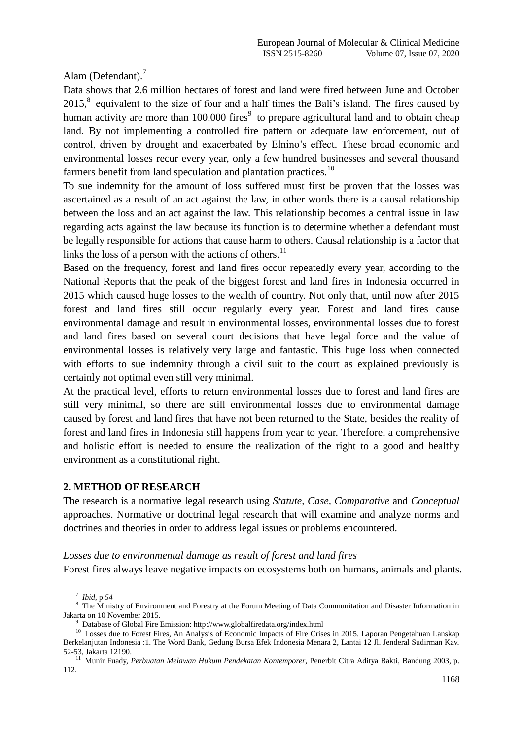Alam (Defendant).<sup>7</sup>

Data shows that 2.6 million hectares of forest and land were fired between June and October  $2015$ ,<sup>8</sup> equivalent to the size of four and a half times the Bali's island. The fires caused by human activity are more than 100.000 fires<sup>9</sup> to prepare agricultural land and to obtain cheap land. By not implementing a controlled fire pattern or adequate law enforcement, out of control, driven by drought and exacerbated by Elnino"s effect. These broad economic and environmental losses recur every year, only a few hundred businesses and several thousand farmers benefit from land speculation and plantation practices.<sup>10</sup>

To sue indemnity for the amount of loss suffered must first be proven that the losses was ascertained as a result of an act against the law, in other words there is a causal relationship between the loss and an act against the law. This relationship becomes a central issue in law regarding acts against the law because its function is to determine whether a defendant must be legally responsible for actions that cause harm to others. Causal relationship is a factor that links the loss of a person with the actions of others. $^{11}$ 

Based on the frequency, forest and land fires occur repeatedly every year, according to the National Reports that the peak of the biggest forest and land fires in Indonesia occurred in 2015 which caused huge losses to the wealth of country. Not only that, until now after 2015 forest and land fires still occur regularly every year. Forest and land fires cause environmental damage and result in environmental losses, environmental losses due to forest and land fires based on several court decisions that have legal force and the value of environmental losses is relatively very large and fantastic. This huge loss when connected with efforts to sue indemnity through a civil suit to the court as explained previously is certainly not optimal even still very minimal.

At the practical level, efforts to return environmental losses due to forest and land fires are still very minimal, so there are still environmental losses due to environmental damage caused by forest and land fires that have not been returned to the State, besides the reality of forest and land fires in Indonesia still happens from year to year. Therefore, a comprehensive and holistic effort is needed to ensure the realization of the right to a good and healthy environment as a constitutional right.

# **2. METHOD OF RESEARCH**

The research is a normative legal research using *Statute, Case, Comparative* and *Conceptual* approaches. Normative or doctrinal legal research that will examine and analyze norms and doctrines and theories in order to address legal issues or problems encountered.

#### *Losses due to environmental damage as result of forest and land fires*

Forest fires always leave negative impacts on ecosystems both on humans, animals and plants.

7 *Ibid,* p *54*

<u>.</u>

<sup>&</sup>lt;sup>8</sup> The Ministry of Environment and Forestry at the Forum Meeting of Data Communitation and Disaster Information in Jakarta on 10 November 2015.

<sup>&</sup>lt;sup>9</sup> Database of Global Fire Emission: http://www.globalfiredata.org/index.html

<sup>&</sup>lt;sup>10</sup> Losses due to Forest Fires, An Analysis of Economic Impacts of Fire Crises in 2015. Laporan Pengetahuan Lanskap Berkelanjutan Indonesia :1. The Word Bank, Gedung Bursa Efek Indonesia Menara 2, Lantai 12 Jl. Jenderal Sudirman Kav. 52-53, Jakarta 12190.

<sup>11</sup> Munir Fuady, *Perbuatan Melawan Hukum Pendekatan Kontemporer*, Penerbit Citra Aditya Bakti, Bandung 2003, p. 112.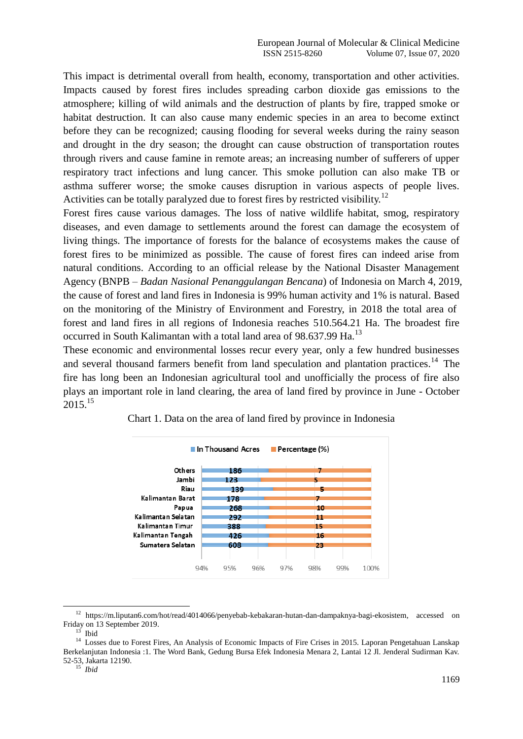This impact is detrimental overall from health, economy, transportation and other activities. Impacts caused by forest fires includes spreading carbon dioxide gas emissions to the atmosphere; killing of wild animals and the destruction of plants by fire, trapped smoke or habitat destruction. It can also cause many endemic species in an area to become extinct before they can be recognized; causing flooding for several weeks during the rainy season and drought in the dry season; the drought can cause obstruction of transportation routes through rivers and cause famine in remote areas; an increasing number of sufferers of upper respiratory tract infections and lung cancer. This smoke pollution can also make TB or asthma sufferer worse; the smoke causes disruption in various aspects of people lives. Activities can be totally paralyzed due to forest fires by restricted visibility.<sup>12</sup>

Forest fires cause various damages. The loss of native wildlife habitat, smog, respiratory diseases, and even damage to settlements around the forest can damage the ecosystem of living things. The importance of forests for the balance of ecosystems makes the cause of forest fires to be minimized as possible. The cause of forest fires can indeed arise from natural conditions. According to an official release by the National Disaster Management Agency (BNPB – *Badan Nasional Penanggulangan Bencana*) of Indonesia on March 4, 2019, the cause of forest and land fires in Indonesia is 99% human activity and 1% is natural. Based on the monitoring of the Ministry of Environment and Forestry, in 2018 the total area of forest and land fires in all regions of Indonesia reaches 510.564.21 Ha. The broadest fire occurred in South Kalimantan with a total land area of 98.637.99 Ha.<sup>13</sup>

These economic and environmental losses recur every year, only a few hundred businesses and several thousand farmers benefit from land speculation and plantation practices.<sup>14</sup> The fire has long been an Indonesian agricultural tool and unofficially the process of fire also plays an important role in land clearing, the area of land fired by province in June - October  $2015^{15}$ 



Chart 1. Data on the area of land fired by province in Indonesia

<u>.</u>

<sup>12</sup> https://m.liputan6.com/hot/read/4014066/penyebab-kebakaran-hutan-dan-dampaknya-bagi-ekosistem, accessed on Friday on 13 September 2019.

<sup>13</sup> Ibid

<sup>&</sup>lt;sup>14</sup> Losses due to Forest Fires, An Analysis of Economic Impacts of Fire Crises in 2015. Laporan Pengetahuan Lanskap Berkelanjutan Indonesia :1. The Word Bank, Gedung Bursa Efek Indonesia Menara 2, Lantai 12 Jl. Jenderal Sudirman Kav. 52-53, Jakarta 12190.

<sup>15</sup> *Ibid*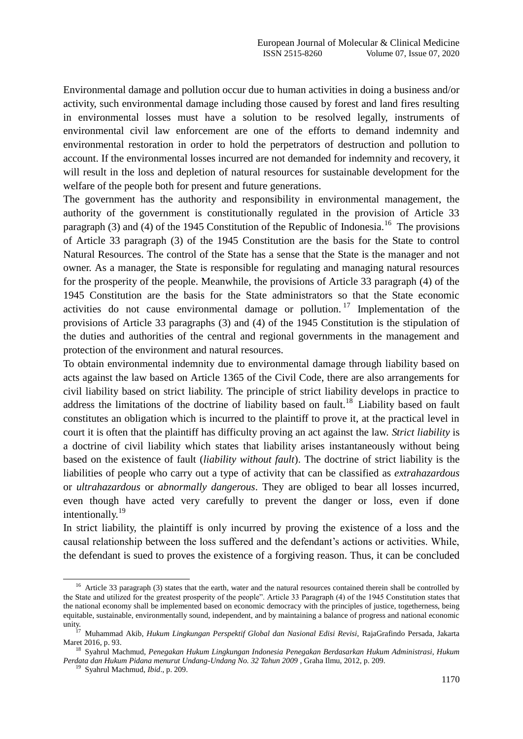Environmental damage and pollution occur due to human activities in doing a business and/or activity, such environmental damage including those caused by forest and land fires resulting in environmental losses must have a solution to be resolved legally, instruments of environmental civil law enforcement are one of the efforts to demand indemnity and environmental restoration in order to hold the perpetrators of destruction and pollution to account. If the environmental losses incurred are not demanded for indemnity and recovery, it will result in the loss and depletion of natural resources for sustainable development for the welfare of the people both for present and future generations.

The government has the authority and responsibility in environmental management, the authority of the government is constitutionally regulated in the provision of Article 33 paragraph (3) and (4) of the 1945 Constitution of the Republic of Indonesia.<sup>16</sup> The provisions of Article 33 paragraph (3) of the 1945 Constitution are the basis for the State to control Natural Resources. The control of the State has a sense that the State is the manager and not owner. As a manager, the State is responsible for regulating and managing natural resources for the prosperity of the people. Meanwhile, the provisions of Article 33 paragraph (4) of the 1945 Constitution are the basis for the State administrators so that the State economic activities do not cause environmental damage or pollution.<sup>17</sup> Implementation of the provisions of Article 33 paragraphs (3) and (4) of the 1945 Constitution is the stipulation of the duties and authorities of the central and regional governments in the management and protection of the environment and natural resources.

To obtain environmental indemnity due to environmental damage through liability based on acts against the law based on Article 1365 of the Civil Code, there are also arrangements for civil liability based on strict liability. The principle of strict liability develops in practice to address the limitations of the doctrine of liability based on fault.<sup>18</sup> Liability based on fault constitutes an obligation which is incurred to the plaintiff to prove it, at the practical level in court it is often that the plaintiff has difficulty proving an act against the law. *Strict liability* is a doctrine of civil liability which states that liability arises instantaneously without being based on the existence of fault (*liability without fault*). The doctrine of strict liability is the liabilities of people who carry out a type of activity that can be classified as *extrahazardous* or *ultrahazardous* or *abnormally dangerous*. They are obliged to bear all losses incurred, even though have acted very carefully to prevent the danger or loss, even if done intentionally.<sup>19</sup>

In strict liability, the plaintiff is only incurred by proving the existence of a loss and the causal relationship between the loss suffered and the defendant's actions or activities. While, the defendant is sued to proves the existence of a forgiving reason. Thus, it can be concluded

<sup>&</sup>lt;sup>16</sup> Article 33 paragraph (3) states that the earth, water and the natural resources contained therein shall be controlled by the State and utilized for the greatest prosperity of the people". Article 33 Paragraph (4) of the 1945 Constitution states that the national economy shall be implemented based on economic democracy with the principles of justice, togetherness, being equitable, sustainable, environmentally sound, independent, and by maintaining a balance of progress and national economic unity.

<sup>&</sup>lt;sup>17</sup> Muhammad Akib, *Hukum Lingkungan Perspektif Global dan Nasional Edisi Revisi*, RajaGrafindo Persada, Jakarta Maret 2016, p. 93.

<sup>18</sup> Syahrul Machmud, *Penegakan Hukum Lingkungan Indonesia Penegakan Berdasarkan Hukum Administrasi, Hukum Perdata dan Hukum Pidana menurut Undang-Undang No. 32 Tahun 2009* , Graha Ilmu, 2012, p. 209.

<sup>19</sup> Syahrul Machmud, *Ibid*., p. 209.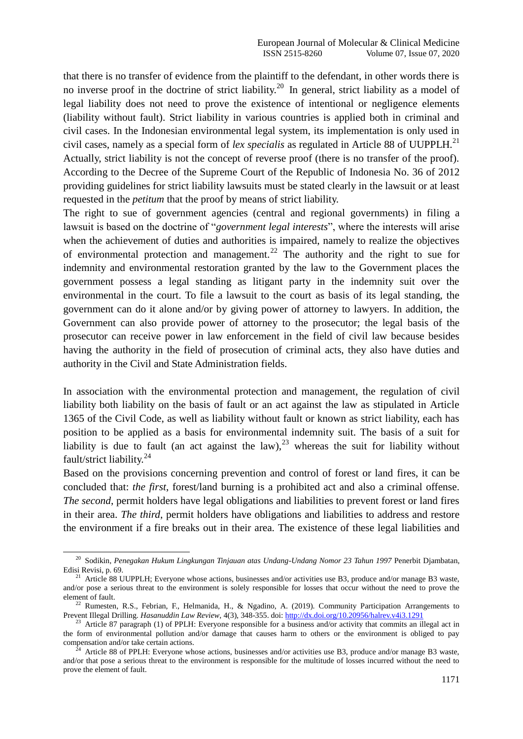that there is no transfer of evidence from the plaintiff to the defendant, in other words there is no inverse proof in the doctrine of strict liability.<sup>20</sup> In general, strict liability as a model of legal liability does not need to prove the existence of intentional or negligence elements (liability without fault). Strict liability in various countries is applied both in criminal and civil cases. In the Indonesian environmental legal system, its implementation is only used in civil cases, namely as a special form of *lex specialis* as regulated in Article 88 of UUPPLH.<sup>21</sup> Actually, strict liability is not the concept of reverse proof (there is no transfer of the proof). According to the Decree of the Supreme Court of the Republic of Indonesia No. 36 of 2012 providing guidelines for strict liability lawsuits must be stated clearly in the lawsuit or at least requested in the *petitum* that the proof by means of strict liability.

The right to sue of government agencies (central and regional governments) in filing a lawsuit is based on the doctrine of "*government legal interests*", where the interests will arise when the achievement of duties and authorities is impaired, namely to realize the objectives of environmental protection and management.<sup>22</sup> The authority and the right to sue for indemnity and environmental restoration granted by the law to the Government places the government possess a legal standing as litigant party in the indemnity suit over the environmental in the court. To file a lawsuit to the court as basis of its legal standing, the government can do it alone and/or by giving power of attorney to lawyers. In addition, the Government can also provide power of attorney to the prosecutor; the legal basis of the prosecutor can receive power in law enforcement in the field of civil law because besides having the authority in the field of prosecution of criminal acts, they also have duties and authority in the Civil and State Administration fields.

In association with the environmental protection and management, the regulation of civil liability both liability on the basis of fault or an act against the law as stipulated in Article 1365 of the Civil Code, as well as liability without fault or known as strict liability, each has position to be applied as a basis for environmental indemnity suit. The basis of a suit for liability is due to fault (an act against the law),  $^{23}$  whereas the suit for liability without fault/strict liability.<sup>24</sup>

Based on the provisions concerning prevention and control of forest or land fires, it can be concluded that: *the first*, forest/land burning is a prohibited act and also a criminal offense. *The second*, permit holders have legal obligations and liabilities to prevent forest or land fires in their area. *The third*, permit holders have obligations and liabilities to address and restore the environment if a fire breaks out in their area. The existence of these legal liabilities and

<sup>20</sup> Sodikin, *Penegakan Hukum Lingkungan Tinjauan atas Undang-Undang Nomor 23 Tahun 1997* Penerbit Djambatan, Edisi Revisi, p. 69.

<sup>&</sup>lt;sup>21</sup> Article 88 UUPPLH; Everyone whose actions, businesses and/or activities use B3, produce and/or manage B3 waste, and/or pose a serious threat to the environment is solely responsible for losses that occur without the need to prove the element of fault.

<sup>&</sup>lt;sup>22</sup> Rumesten, R.S., Febrian, F., Helmanida, H., & Ngadino, A. (2019). Community Participation Arrangements to Prevent Illegal Drilling. *Hasanuddin Law Review*, 4(3), 348-355. doi[: http://dx.doi.org/10.20956/halrev.v4i3.1291](http://dx.doi.org/10.20956/halrev.v4i3.1291)

<sup>&</sup>lt;sup>23</sup> Article 87 paragraph (1) of PPLH: Everyone responsible for a business and/or activity that commits an illegal act in the form of environmental pollution and/or damage that causes harm to others or the environment is obliged to pay compensation and/or take certain actions.

Article 88 of PPLH: Everyone whose actions, businesses and/or activities use B3, produce and/or manage B3 waste, and/or that pose a serious threat to the environment is responsible for the multitude of losses incurred without the need to prove the element of fault.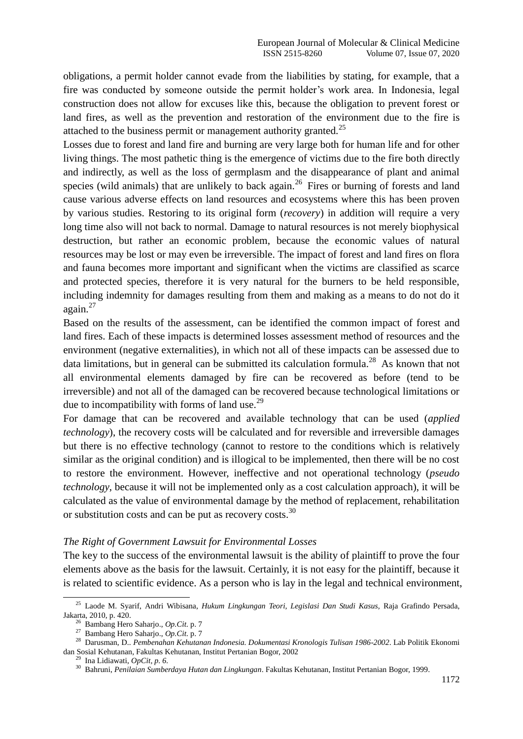obligations, a permit holder cannot evade from the liabilities by stating, for example, that a fire was conducted by someone outside the permit holder"s work area. In Indonesia, legal construction does not allow for excuses like this, because the obligation to prevent forest or land fires, as well as the prevention and restoration of the environment due to the fire is attached to the business permit or management authority granted.<sup>25</sup>

Losses due to forest and land fire and burning are very large both for human life and for other living things. The most pathetic thing is the emergence of victims due to the fire both directly and indirectly, as well as the loss of germplasm and the disappearance of plant and animal species (wild animals) that are unlikely to back again.<sup>26</sup> Fires or burning of forests and land cause various adverse effects on land resources and ecosystems where this has been proven by various studies. Restoring to its original form (*recovery*) in addition will require a very long time also will not back to normal. Damage to natural resources is not merely biophysical destruction, but rather an economic problem, because the economic values of natural resources may be lost or may even be irreversible. The impact of forest and land fires on flora and fauna becomes more important and significant when the victims are classified as scarce and protected species, therefore it is very natural for the burners to be held responsible, including indemnity for damages resulting from them and making as a means to do not do it again.<sup>27</sup>

Based on the results of the assessment, can be identified the common impact of forest and land fires. Each of these impacts is determined losses assessment method of resources and the environment (negative externalities), in which not all of these impacts can be assessed due to data limitations, but in general can be submitted its calculation formula.<sup>28</sup> As known that not all environmental elements damaged by fire can be recovered as before (tend to be irreversible) and not all of the damaged can be recovered because technological limitations or due to incompatibility with forms of land use. $^{29}$ 

For damage that can be recovered and available technology that can be used (*applied technology*), the recovery costs will be calculated and for reversible and irreversible damages but there is no effective technology (cannot to restore to the conditions which is relatively similar as the original condition) and is illogical to be implemented, then there will be no cost to restore the environment. However, ineffective and not operational technology (*pseudo technology*, because it will not be implemented only as a cost calculation approach), it will be calculated as the value of environmental damage by the method of replacement, rehabilitation or substitution costs and can be put as recovery costs.<sup>30</sup>

# *The Right of Government Lawsuit for Environmental Losses*

The key to the success of the environmental lawsuit is the ability of plaintiff to prove the four elements above as the basis for the lawsuit. Certainly, it is not easy for the plaintiff, because it is related to scientific evidence. As a person who is lay in the legal and technical environment,

<sup>25</sup> Laode M. Syarif, Andri Wibisana, *Hukum Lingkungan Teori, Legislasi Dan Studi Kasus,* Raja Grafindo Persada, Jakarta, 2010, p. 420.

<sup>26</sup> Bambang Hero Saharjo., *Op.Cit.* p. 7

<sup>27</sup> Bambang Hero Saharjo., *Op.Cit.* p. 7

<sup>28</sup> Darusman, D.. *Pembenahan Kehutanan Indonesia. Dokumentasi Kronologis Tulisan 1986-2002*. Lab Politik Ekonomi dan Sosial Kehutanan, Fakultas Kehutanan, Institut Pertanian Bogor, 2002

<sup>29</sup> Ina Lidiawati, *OpCit, p. 6.*

<sup>30</sup> Bahruni, *Penilaian Sumberdaya Hutan dan Lingkungan*. Fakultas Kehutanan, Institut Pertanian Bogor, 1999.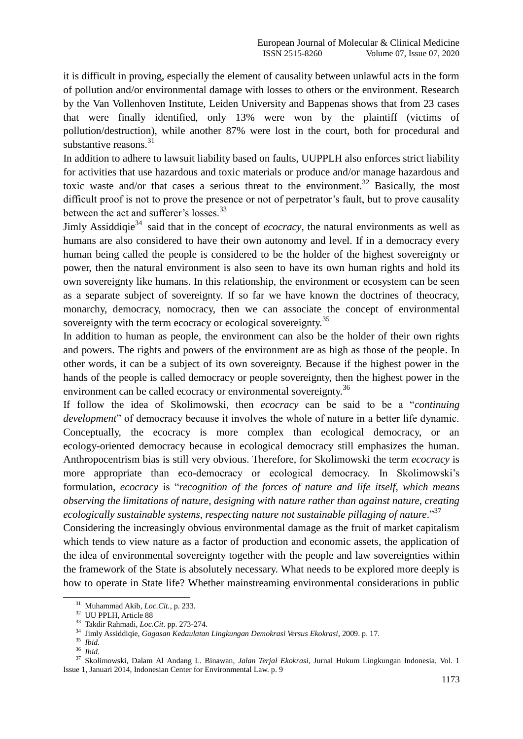it is difficult in proving, especially the element of causality between unlawful acts in the form of pollution and/or environmental damage with losses to others or the environment. Research by the Van Vollenhoven Institute, Leiden University and Bappenas shows that from 23 cases that were finally identified, only 13% were won by the plaintiff (victims of pollution/destruction), while another 87% were lost in the court, both for procedural and substantive reasons. $31$ 

In addition to adhere to lawsuit liability based on faults, UUPPLH also enforces strict liability for activities that use hazardous and toxic materials or produce and/or manage hazardous and toxic waste and/or that cases a serious threat to the environment.<sup>32</sup> Basically, the most difficult proof is not to prove the presence or not of perpetrator's fault, but to prove causality between the act and sufferer's losses.<sup>33</sup>

Jimly Assiddiqie<sup>34</sup> said that in the concept of *ecocracy*, the natural environments as well as humans are also considered to have their own autonomy and level. If in a democracy every human being called the people is considered to be the holder of the highest sovereignty or power, then the natural environment is also seen to have its own human rights and hold its own sovereignty like humans. In this relationship, the environment or ecosystem can be seen as a separate subject of sovereignty. If so far we have known the doctrines of theocracy, monarchy, democracy, nomocracy, then we can associate the concept of environmental sovereignty with the term ecocracy or ecological sovereignty.<sup>35</sup>

In addition to human as people, the environment can also be the holder of their own rights and powers. The rights and powers of the environment are as high as those of the people. In other words, it can be a subject of its own sovereignty. Because if the highest power in the hands of the people is called democracy or people sovereignty, then the highest power in the environment can be called ecocracy or environmental sovereignty.<sup>36</sup>

If follow the idea of Skolimowski, then *ecocracy* can be said to be a "*continuing development*" of democracy because it involves the whole of nature in a better life dynamic. Conceptually, the ecocracy is more complex than ecological democracy, or an ecology-oriented democracy because in ecological democracy still emphasizes the human. Anthropocentrism bias is still very obvious. Therefore, for Skolimowski the term *ecocracy* is more appropriate than eco-democracy or ecological democracy. In Skolimowski's formulation, *ecocracy* is "*recognition of the forces of nature and life itself, which means observing the limitations of nature, designing with nature rather than against nature, creating ecologically sustainable systems, respecting nature not sustainable pillaging of nature*."<sup>37</sup>

Considering the increasingly obvious environmental damage as the fruit of market capitalism which tends to view nature as a factor of production and economic assets, the application of the idea of environmental sovereignty together with the people and law sovereignties within the framework of the State is absolutely necessary. What needs to be explored more deeply is how to operate in State life? Whether mainstreaming environmental considerations in public

<sup>31</sup> Muhammad Akib*, Loc.Cit.,* p. 233.

<sup>32</sup> UU PPLH, Article 88

<sup>33</sup> Takdir Rahmadi, *Loc.Cit*. pp. 273-274.

<sup>34</sup> Jimly Assiddiqie, *Gagasan Kedaulatan Lingkungan Demokrasi Versus Ekokrasi*, 2009. p. 17.

<sup>35</sup> *Ibid.*

<sup>36</sup> *Ibid.*

<sup>37</sup> Skolimowski, Dalam Al Andang L. Binawan, *Jalan Terjal Ekokrasi,* Jurnal Hukum Lingkungan Indonesia, Vol. 1 Issue 1, Januari 2014, Indonesian Center for Environmental Law. p. 9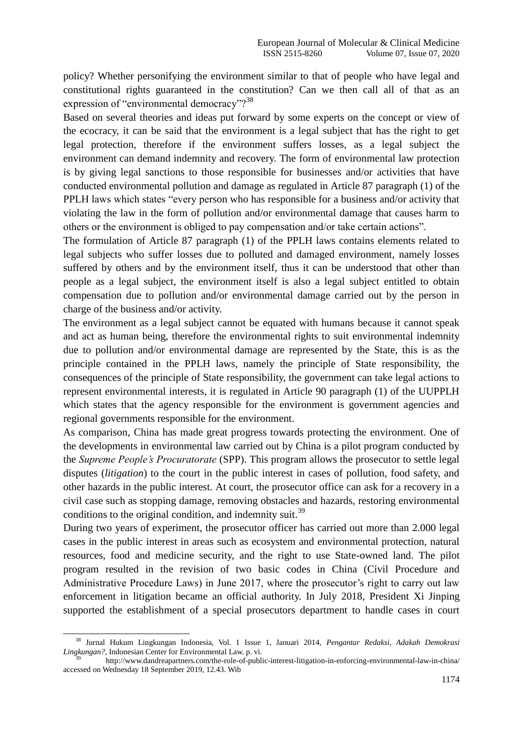policy? Whether personifying the environment similar to that of people who have legal and constitutional rights guaranteed in the constitution? Can we then call all of that as an expression of "environmental democracy"?<sup>38</sup>

Based on several theories and ideas put forward by some experts on the concept or view of the ecocracy, it can be said that the environment is a legal subject that has the right to get legal protection, therefore if the environment suffers losses, as a legal subject the environment can demand indemnity and recovery. The form of environmental law protection is by giving legal sanctions to those responsible for businesses and/or activities that have conducted environmental pollution and damage as regulated in Article 87 paragraph (1) of the PPLH laws which states "every person who has responsible for a business and/or activity that violating the law in the form of pollution and/or environmental damage that causes harm to others or the environment is obliged to pay compensation and/or take certain actions".

The formulation of Article 87 paragraph (1) of the PPLH laws contains elements related to legal subjects who suffer losses due to polluted and damaged environment, namely losses suffered by others and by the environment itself, thus it can be understood that other than people as a legal subject, the environment itself is also a legal subject entitled to obtain compensation due to pollution and/or environmental damage carried out by the person in charge of the business and/or activity.

The environment as a legal subject cannot be equated with humans because it cannot speak and act as human being, therefore the environmental rights to suit environmental indemnity due to pollution and/or environmental damage are represented by the State, this is as the principle contained in the PPLH laws, namely the principle of State responsibility, the consequences of the principle of State responsibility, the government can take legal actions to represent environmental interests, it is regulated in Article 90 paragraph (1) of the UUPPLH which states that the agency responsible for the environment is government agencies and regional governments responsible for the environment.

As comparison, China has made great progress towards protecting the environment. One of the developments in environmental law carried out by China is a pilot program conducted by the *Supreme People's Procuratorate* (SPP). This program allows the prosecutor to settle legal disputes (*litigation*) to the court in the public interest in cases of pollution, food safety, and other hazards in the public interest. At court, the prosecutor office can ask for a recovery in a civil case such as stopping damage, removing obstacles and hazards, restoring environmental conditions to the original condition, and indemnity suit.<sup>39</sup>

During two years of experiment, the prosecutor officer has carried out more than 2.000 legal cases in the public interest in areas such as ecosystem and environmental protection, natural resources, food and medicine security, and the right to use State-owned land. The pilot program resulted in the revision of two basic codes in China (Civil Procedure and Administrative Procedure Laws) in June 2017, where the prosecutor's right to carry out law enforcement in litigation became an official authority. In July 2018, President Xi Jinping supported the establishment of a special prosecutors department to handle cases in court

<u>.</u>

<sup>38</sup> Jurnal Hukum Lingkungan Indonesia, Vol. 1 Issue 1, Januari 2014, *Pengantar Redaksi, Adakah Demokrasi Lingkungan?,* Indonesian Center for Environmental Law. p. vi.

<sup>39</sup> http://www.dandreapartners.com/the-role-of-public-interest-litigation-in-enforcing-environmental-law-in-china/ accessed on Wednesday 18 September 2019, 12.43. Wib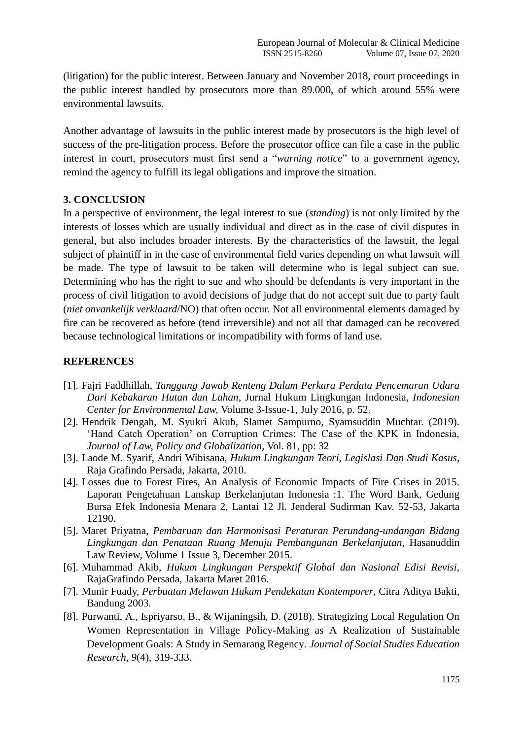(litigation) for the public interest. Between January and November 2018, court proceedings in the public interest handled by prosecutors more than 89.000, of which around 55% were environmental lawsuits.

Another advantage of lawsuits in the public interest made by prosecutors is the high level of success of the pre-litigation process. Before the prosecutor office can file a case in the public interest in court, prosecutors must first send a "*warning notice*" to a government agency, remind the agency to fulfill its legal obligations and improve the situation.

## **3. CONCLUSION**

In a perspective of environment, the legal interest to sue (*standing*) is not only limited by the interests of losses which are usually individual and direct as in the case of civil disputes in general, but also includes broader interests. By the characteristics of the lawsuit, the legal subject of plaintiff in in the case of environmental field varies depending on what lawsuit will be made. The type of lawsuit to be taken will determine who is legal subject can sue. Determining who has the right to sue and who should be defendants is very important in the process of civil litigation to avoid decisions of judge that do not accept suit due to party fault (*niet onvankelijk verklaard*/NO) that often occur. Not all environmental elements damaged by fire can be recovered as before (tend irreversible) and not all that damaged can be recovered because technological limitations or incompatibility with forms of land use.

## **REFERENCES**

- [1]. Fajri Faddhillah, *Tanggung Jawab Renteng Dalam Perkara Perdata Pencemaran Udara Dari Kebakaran Hutan dan Lahan*, Jurnal Hukum Lingkungan Indonesia, *Indonesian Center for Environmental Law,* Volume 3-Issue-1, July 2016, p. 52.
- [2]. Hendrik Dengah, M. Syukri Akub, Slamet Sampurno, Syamsuddin Muchtar. (2019). "Hand Catch Operation" on Corruption Crimes: The Case of the KPK in Indonesia, *Journal of Law, Policy and Globalization*, Vol. 81, pp: 32
- [3]. Laode M. Syarif, Andri Wibisana, *Hukum Lingkungan Teori, Legislasi Dan Studi Kasus,*  Raja Grafindo Persada, Jakarta, 2010.
- [4]. Losses due to Forest Fires, An Analysis of Economic Impacts of Fire Crises in 2015. Laporan Pengetahuan Lanskap Berkelanjutan Indonesia :1. The Word Bank, Gedung Bursa Efek Indonesia Menara 2, Lantai 12 Jl. Jenderal Sudirman Kav. 52-53, Jakarta 12190.
- [5]. Maret Priyatna, *Pembaruan dan Harmonisasi Peraturan Perundang-undangan Bidang Lingkungan dan Penataan Ruang Menuju Pembangunan Berkelanjutan*, Hasanuddin Law Review, Volume 1 Issue 3, December 2015.
- [6]. Muhammad Akib, *Hukum Lingkungan Perspektif Global dan Nasional Edisi Revisi,*  RajaGrafindo Persada, Jakarta Maret 2016.
- [7]. Munir Fuady, *Perbuatan Melawan Hukum Pendekatan Kontemporer*, Citra Aditya Bakti, Bandung 2003.
- [8]. Purwanti, A., Ispriyarso, B., & Wijaningsih, D. (2018). Strategizing Local Regulation On Women Representation in Village Policy-Making as A Realization of Sustainable Development Goals: A Study in Semarang Regency. *Journal of Social Studies Education Research*, *9*(4), 319-333.